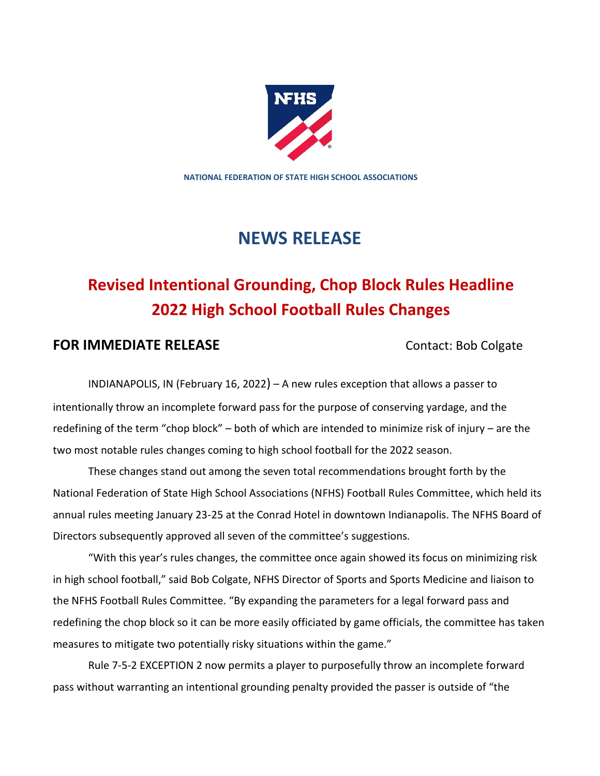

**NATIONAL FEDERATION OF STATE HIGH SCHOOL ASSOCIATIONS**

## **NEWS RELEASE**

# **Revised Intentional Grounding, Chop Block Rules Headline 2022 High School Football Rules Changes**

### **FOR IMMEDIATE RELEASE** Contact: Bob Colgate

INDIANAPOLIS, IN (February 16, 2022) – A new rules exception that allows a passer to intentionally throw an incomplete forward pass for the purpose of conserving yardage, and the redefining of the term "chop block" – both of which are intended to minimize risk of injury – are the two most notable rules changes coming to high school football for the 2022 season.

These changes stand out among the seven total recommendations brought forth by the National Federation of State High School Associations (NFHS) Football Rules Committee, which held its annual rules meeting January 23-25 at the Conrad Hotel in downtown Indianapolis. The NFHS Board of Directors subsequently approved all seven of the committee's suggestions.

"With this year's rules changes, the committee once again showed its focus on minimizing risk in high school football," said Bob Colgate, NFHS Director of Sports and Sports Medicine and liaison to the NFHS Football Rules Committee. "By expanding the parameters for a legal forward pass and redefining the chop block so it can be more easily officiated by game officials, the committee has taken measures to mitigate two potentially risky situations within the game."

Rule 7-5-2 EXCEPTION 2 now permits a player to purposefully throw an incomplete forward pass without warranting an intentional grounding penalty provided the passer is outside of "the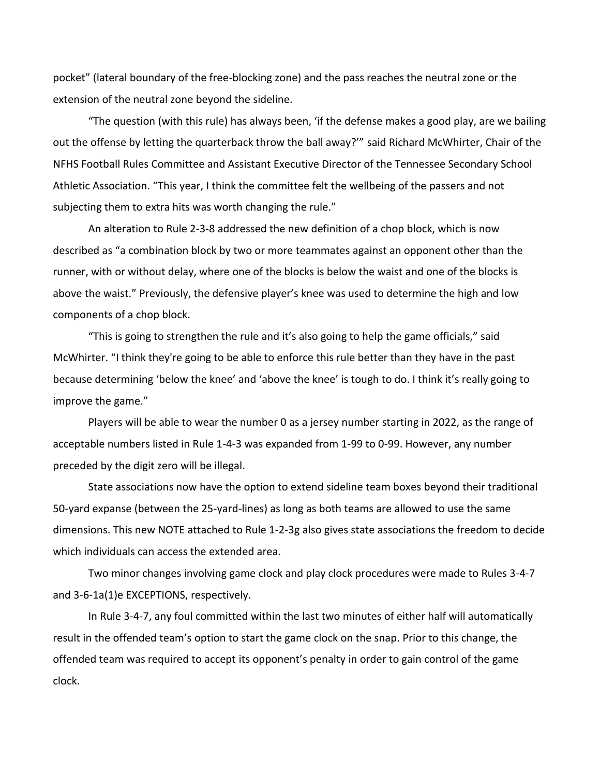pocket" (lateral boundary of the free-blocking zone) and the pass reaches the neutral zone or the extension of the neutral zone beyond the sideline.

"The question (with this rule) has always been, 'if the defense makes a good play, are we bailing out the offense by letting the quarterback throw the ball away?'" said Richard McWhirter, Chair of the NFHS Football Rules Committee and Assistant Executive Director of the Tennessee Secondary School Athletic Association. "This year, I think the committee felt the wellbeing of the passers and not subjecting them to extra hits was worth changing the rule."

An alteration to Rule 2-3-8 addressed the new definition of a chop block, which is now described as "a combination block by two or more teammates against an opponent other than the runner, with or without delay, where one of the blocks is below the waist and one of the blocks is above the waist." Previously, the defensive player's knee was used to determine the high and low components of a chop block.

"This is going to strengthen the rule and it's also going to help the game officials," said McWhirter. "I think they're going to be able to enforce this rule better than they have in the past because determining 'below the knee' and 'above the knee' is tough to do. I think it's really going to improve the game."

Players will be able to wear the number 0 as a jersey number starting in 2022, as the range of acceptable numbers listed in Rule 1-4-3 was expanded from 1-99 to 0-99. However, any number preceded by the digit zero will be illegal.

State associations now have the option to extend sideline team boxes beyond their traditional 50-yard expanse (between the 25-yard-lines) as long as both teams are allowed to use the same dimensions. This new NOTE attached to Rule 1-2-3g also gives state associations the freedom to decide which individuals can access the extended area.

Two minor changes involving game clock and play clock procedures were made to Rules 3-4-7 and 3-6-1a(1)e EXCEPTIONS, respectively.

In Rule 3-4-7, any foul committed within the last two minutes of either half will automatically result in the offended team's option to start the game clock on the snap. Prior to this change, the offended team was required to accept its opponent's penalty in order to gain control of the game clock.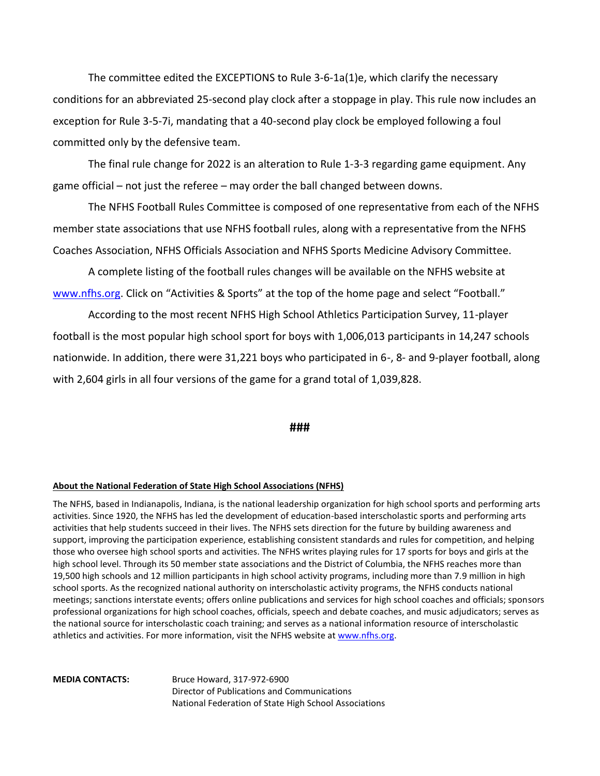The committee edited the EXCEPTIONS to Rule 3-6-1a(1)e, which clarify the necessary conditions for an abbreviated 25-second play clock after a stoppage in play. This rule now includes an exception for Rule 3-5-7i, mandating that a 40-second play clock be employed following a foul committed only by the defensive team.

The final rule change for 2022 is an alteration to Rule 1-3-3 regarding game equipment. Any game official – not just the referee – may order the ball changed between downs.

The NFHS Football Rules Committee is composed of one representative from each of the NFHS member state associations that use NFHS football rules, along with a representative from the NFHS Coaches Association, NFHS Officials Association and NFHS Sports Medicine Advisory Committee.

A complete listing of the football rules changes will be available on the NFHS website at www.nfhs.org. Click on "Activities & Sports" at the top of the home page and select "Football."

According to the most recent NFHS High School Athletics Participation Survey, 11-player football is the most popular high school sport for boys with 1,006,013 participants in 14,247 schools nationwide. In addition, there were 31,221 boys who participated in 6-, 8- and 9-player football, along with 2,604 girls in all four versions of the game for a grand total of 1,039,828.

#### **###**

#### **About the National Federation of State High School Associations (NFHS)**

The NFHS, based in Indianapolis, Indiana, is the national leadership organization for high school sports and performing arts activities. Since 1920, the NFHS has led the development of education-based interscholastic sports and performing arts activities that help students succeed in their lives. The NFHS sets direction for the future by building awareness and support, improving the participation experience, establishing consistent standards and rules for competition, and helping those who oversee high school sports and activities. The NFHS writes playing rules for 17 sports for boys and girls at the high school level. Through its 50 member state associations and the District of Columbia, the NFHS reaches more than 19,500 high schools and 12 million participants in high school activity programs, including more than 7.9 million in high school sports. As the recognized national authority on interscholastic activity programs, the NFHS conducts national meetings; sanctions interstate events; offers online publications and services for high school coaches and officials; sponsors professional organizations for high school coaches, officials, speech and debate coaches, and music adjudicators; serves as the national source for interscholastic coach training; and serves as a national information resource of interscholastic athletics and activities. For more information, visit the NFHS website at www.nfhs.org.

**MEDIA CONTACTS:** Bruce Howard, 317-972-6900 Director of Publications and Communications National Federation of State High School Associations